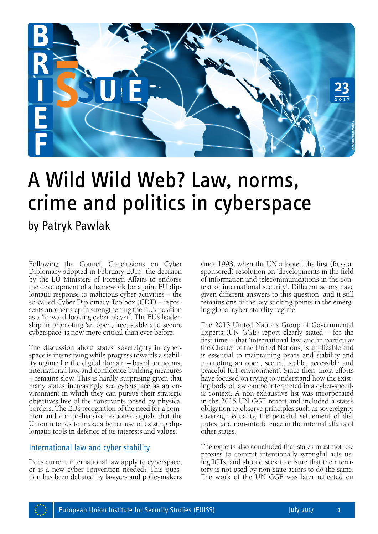

# A Wild Wild Web? Law, norms, crime and politics in cyberspace

# by Patryk Pawlak

Following the Council Conclusions on Cyber Diplomacy adopted in February 2015, the decision by the EU Ministers of Foreign Affairs to endorse the development of a framework for a joint EU diplomatic response to malicious cyber activities – the so-called Cyber Diplomacy Toolbox (CDT) – represents another step in strengthening the EU's position as a 'forward-looking cyber player'. The EU's leadership in promoting 'an open, free, stable and secure cyberspace' is now more critical than ever before.

The discussion about states' sovereignty in cyberspace is intensifying while progress towards a stability regime for the digital domain – based on norms, international law, and confidence building measures – remains slow. This is hardly surprising given that many states increasingly see cyberspace as an environment in which they can pursue their strategic objectives free of the constraints posed by physical borders. The EU's recognition of the need for a common and comprehensive response signals that the Union intends to make a better use of existing diplomatic tools in defence of its interests and values.

## International law and cyber stability

Does current international law apply to cyberspace, or is a new cyber convention needed? This question has been debated by lawyers and policymakers since 1998, when the UN adopted the first (Russiasponsored) resolution on 'developments in the field of information and telecommunications in the context of international security'. Different actors have given different answers to this question, and it still remains one of the key sticking points in the emerging global cyber stability regime.

The 2013 United Nations Group of Governmental Experts (UN GGE) report clearly stated – for the first time – that 'international law, and in particular the Charter of the United Nations, is applicable and is essential to maintaining peace and stability and promoting an open, secure, stable, accessible and peaceful ICT environment'. Since then, most efforts have focused on trying to understand how the existing body of law can be interpreted in a cyber-specific context. A non-exhaustive list was incorporated in the 2015 UN GGE report and included a state's obligation to observe principles such as sovereignty, sovereign equality, the peaceful settlement of disputes, and non-interference in the internal affairs of other states. **THE WAS CONSTRANT CONSTRANT CONSTRANT CONSTRANT (SUSSE)**<br>Since 1998, when the UN adopted the first (Russia-sponsored) resolution on 'developments in the field<br>of information and telecommunications in the con-<br>text of inte

The experts also concluded that states must not use proxies to commit intentionally wrongful acts using ICTs, and should seek to ensure that their territory is not used by non-state actors to do the same.<br>The work of the UN GGE was later reflected on

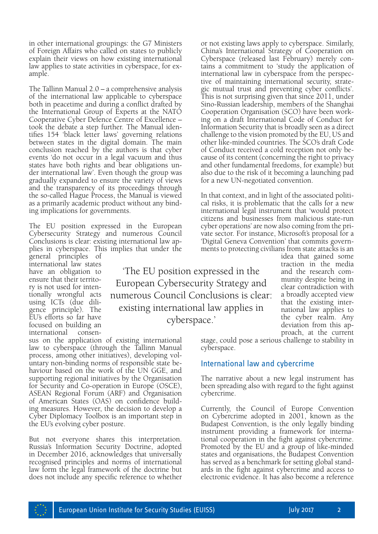in other international groupings: the G7 Ministers of Foreign Affairs who called on states to publicly explain their views on how existing international law applies to state activities in cyberspace, for example.

The Tallinn Manual 2.0 – a comprehensive analysis of the international law applicable to cyberspace both in peacetime and during a conflict drafted by the International Group of Experts at the NATO Cooperative Cyber Defence Centre of Excellence – took the debate a step further. The Manual identifies 154 'black letter laws' governing relations between states in the digital domain. The main conclusion reached by the authors is that cyber events 'do not occur in a legal vacuum and thus states have both rights and bear obligations under international law'. Even though the group was gradually expanded to ensure the variety of views and the transparency of its proceedings through the so-called Hague Process, the Manual is viewed as a primarily academic product without any binding implications for governments.

The EU position expressed in the European Cybersecurity Strategy and numerous Council Conclusions is clear: existing international law applies in cyberspace. This implies that under the

general principles of international law states have an obligation to ensure that their territory is not used for intentionally wrongful acts using ICTs (due diligence principle). The EU's efforts so far have focused on building an international consen-

sus on the application of existing international law to cyberspace (through the Tallinn Manual process, among other initiatives), developing voluntary non-binding norms of responsible state be haviour based on the work of the UN GGE, and supporting regional initiatives by the Organisation for Security and Co-operation in Europe (OSCE), ASEAN Regional Forum (ARF) and Organisation of American States (OAS) on confidence building measures. However, the decision to develop a Cyber Diplomacy Toolbox is an important step in the EU's evolving cyber posture.

But not everyone shares this interpretation. Russia's Information Security Doctrine, adopted in December 2016, acknowledges that universally recognised principles and norms of international law form the legal framework of the doctrine but does not include any specific reference to whether

'The EU position expressed in the European Cybersecurity Strategy and numerous Council Conclusions is clear: existing international law applies in cyberspace.'

or not existing laws apply to cyberspace. Similarly, China's International Strategy of Cooperation on Cyberspace (released last February) merely contains a commitment to 'study the application of international law in cyberspace from the perspective of maintaining international security, strate gic mutual trust and preventing cyber conflicts'. This is not surprising given that since 2011, under Sino-Russian leadership, members of the Shanghai Cooperation Organisation (SCO) have been working on a draft International Code of Conduct for Information Security that is broadly seen as a direct challenge to the vision promoted by the EU, US and other like-minded countries. The SCO's draft Code of Conduct received a cold reception not only because of its content (concerning the right to privacy and other fundamental freedoms, for example) but also due to the risk of it becoming a launching pad for a new UN-negotiated convention.

In that context, and in light of the associated political risks, it is problematic that the calls for a new international legal instrument that 'would protect citizens and businesses from malicious state-run cyber operations' are now also coming from the private sector. For instance, Microsoft's proposal for a 'Digital Geneva Convention' that commits governments to protecting civilians from state attacks is an

idea that gained some traction in the media and the research community despite being in clear contradiction with a broadly accepted view that the existing international law applies to the cyber realm. Any deviation from this approach, at the current

stage, could pose a serious challenge to stability in cyberspace.

#### International law and cybercrime

The narrative about a new legal instrument has been spreading also with regard to the fight against cybercrime.

Currently, the Council of Europe Convention on Cybercrime adopted in 2001, known as the Budapest Convention, is the only legally binding instrument providing a framework for international cooperation in the fight against cybercrime. Promoted by the EU and a group of like-minded states and organisations, the Budapest Convention has served as a benchmark for setting global standards in the fight against cybercrime and access to electronic evidence. It has also become a reference

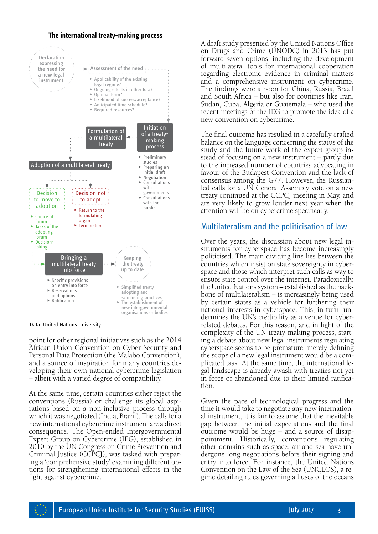#### **The international treaty-making process**



Data: United Nations University

point for other regional initiatives such as the 2014 African Union Convention on Cyber Security and Personal Data Protection (the Malabo Convention), and a source of inspiration for many countries de veloping their own national cybercrime legislation – albeit with a varied degree of compatibility.

At the same time, certain countries either reject the conventions (Russia) or challenge its global aspirations based on a non-inclusive process through which it was negotiated (India, Brazil). The calls for a new international cybercrime instrument are a direct consequence. The Open-ended Intergovernmental Expert Group on Cybercrime (IEG), established in 2010 by the UN Congress on Crime Prevention and Criminal Justice (CCPCJ), was tasked with preparing a 'comprehensive study' examining different options for strengthening international efforts in the fight against cybercrime.

A draft study presented by the United Nations Office on Drugs and Crime (UNODC) in 2013 has put forward seven options, including the development of multilateral tools for international cooperation regarding electronic evidence in criminal matters and a comprehensive instrument on cybercrime. The findings were a boon for China, Russia, Brazil and South Africa – but also for countries like Iran, Sudan, Cuba, Algeria or Guatemala – who used the recent meetings of the IEG to promote the idea of a new convention on cybercrime.

The final outcome has resulted in a carefully crafted balance on the language concerning the status of the study and the future work of the expert group instead of focusing on a new instrument – partly due to the increased number of countries advocating in favour of the Budapest Convention and the lack of consensus among the G77. However, the Russianled calls for a UN General Assembly vote on a new treaty continued at the CCPCJ meeting in May, and are very likely to grow louder next year when the attention will be on cybercrime specifically.

#### Multilateralism and the politicisation of law

Over the years, the discussion about new legal instruments for cyberspace has become increasingly politicised. The main dividing line lies between the countries which insist on state sovereignty in cyberspace and those which interpret such calls as way to ensure state control over the internet. Paradoxically, the United Nations system – established as the backbone of multilateralism – is increasingly being used by certain states as a vehicle for furthering their national interests in cyberspace. This, in turn, undermines the UN's credibility as a venue for cyberrelated debates. For this reason, and in light of the complexity of the UN treaty-making process, starting a debate about new legal instruments regulating cyberspace seems to be premature: merely defining the scope of a new legal instrument would be a complicated task. At the same time, the international le gal landscape is already awash with treaties not yet in force or abandoned due to their limited ratification.

Given the pace of technological progress and the time it would take to negotiate any new international instrument, it is fair to assume that the inevitable gap between the initial expectations and the final outcome would be huge – and a source of disappointment. Historically, conventions regulating other domains such as space, air and sea have undergone long negotiations before their signing and entry into force. For instance, the United Nations Convention on the Law of the Sea (UNCLOS), a regime detailing rules governing all uses of the oceans